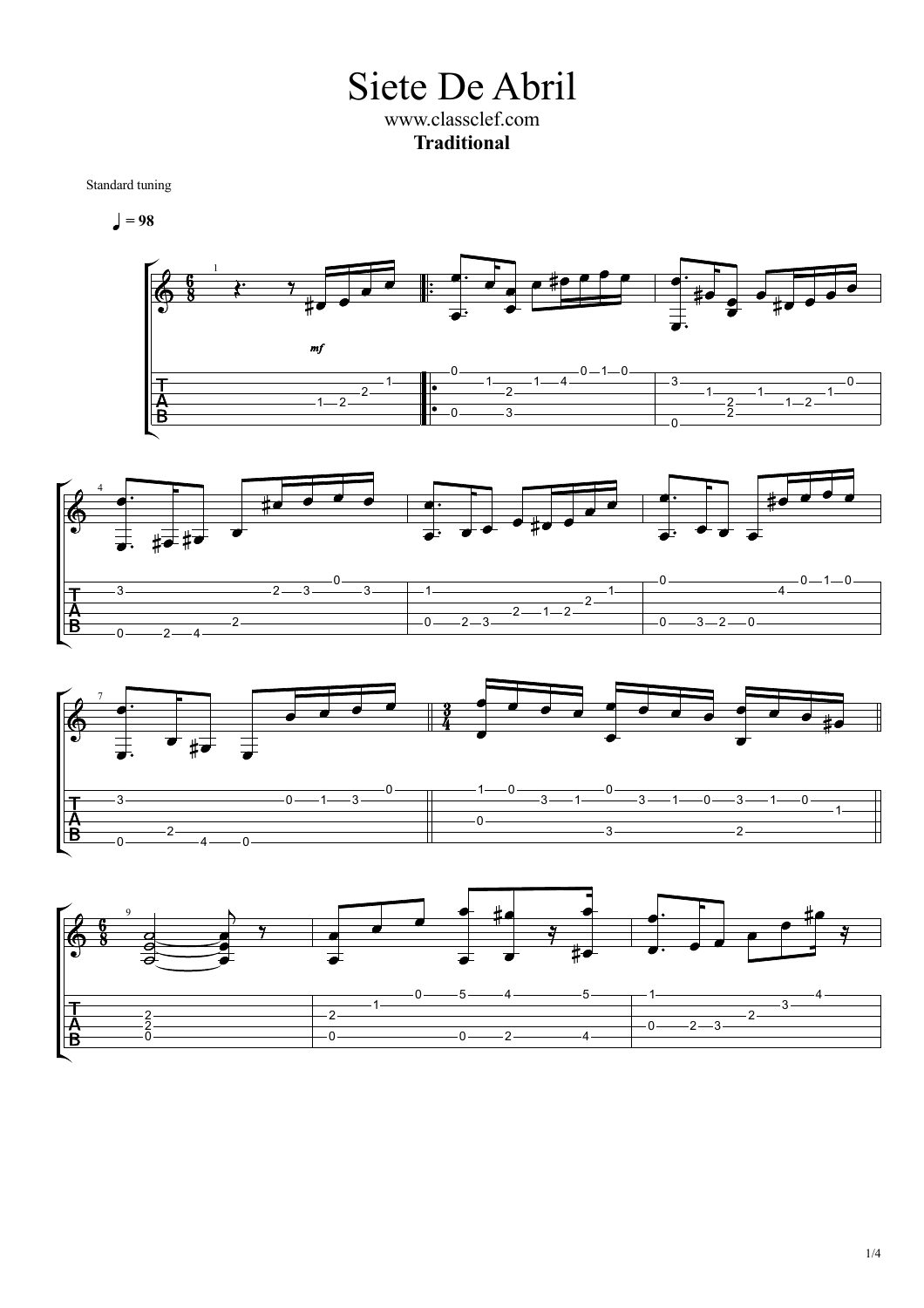Siete De Abril www.classclef.com **Traditional**

Standard tuning

 $= 98$ 







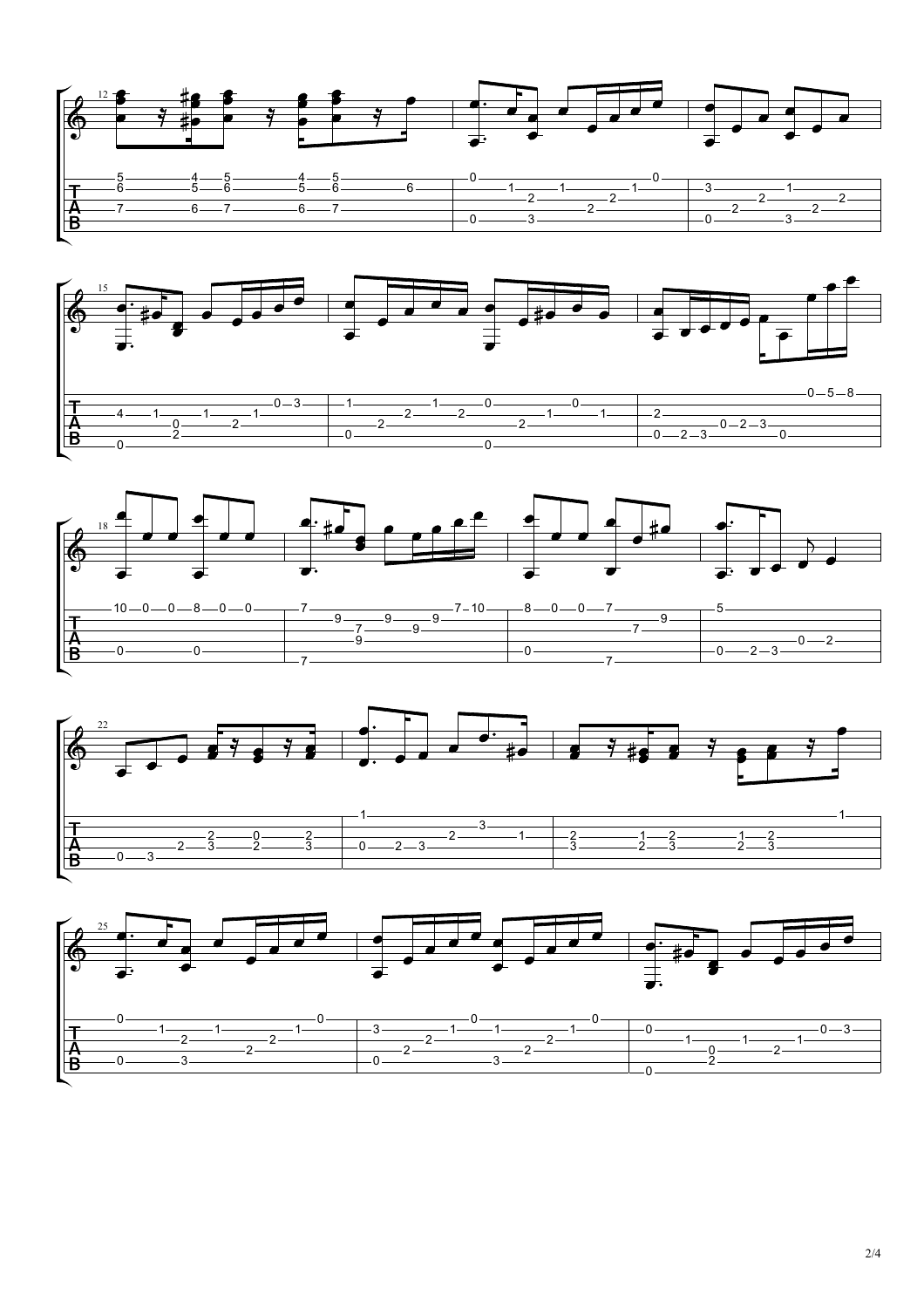







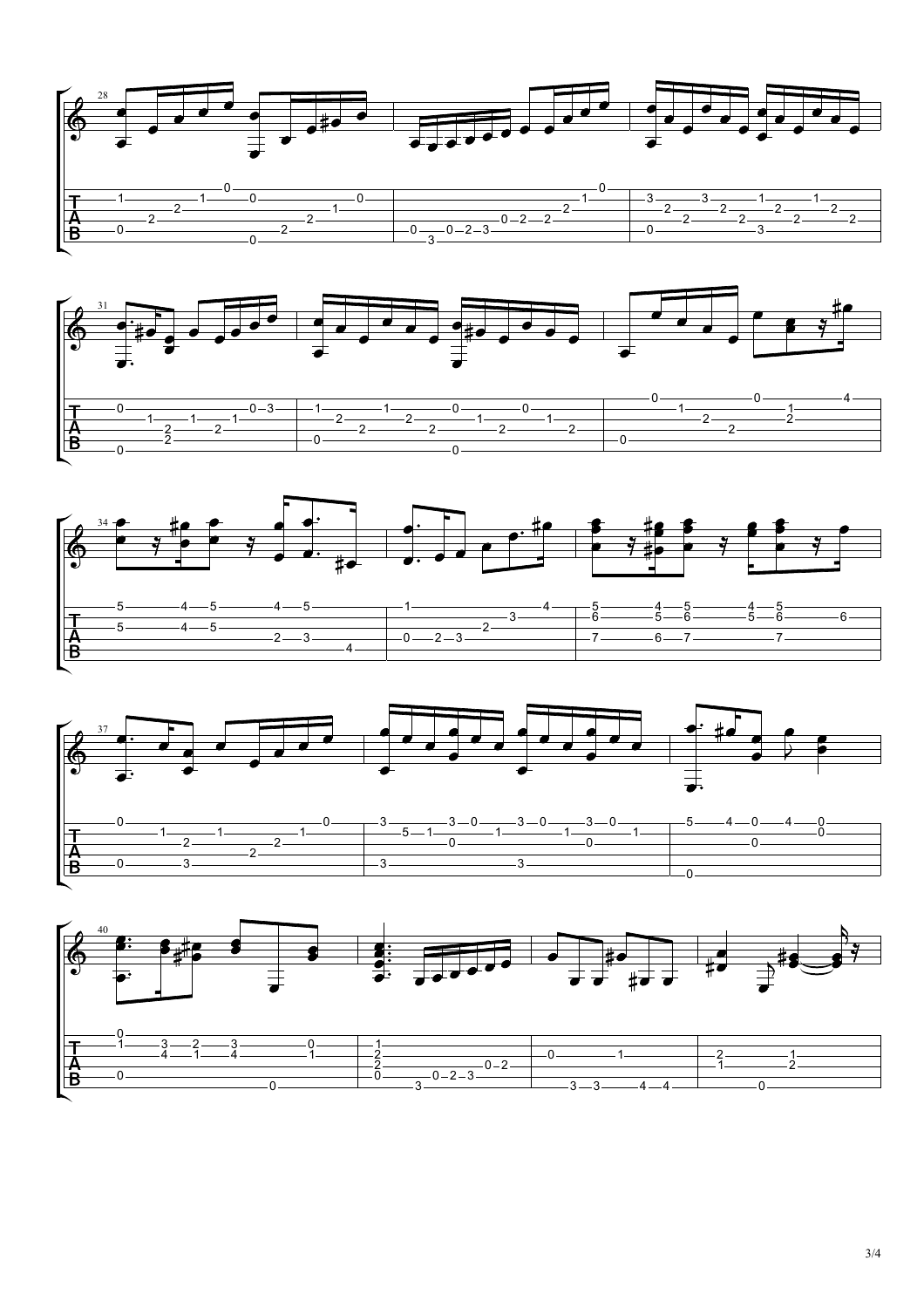